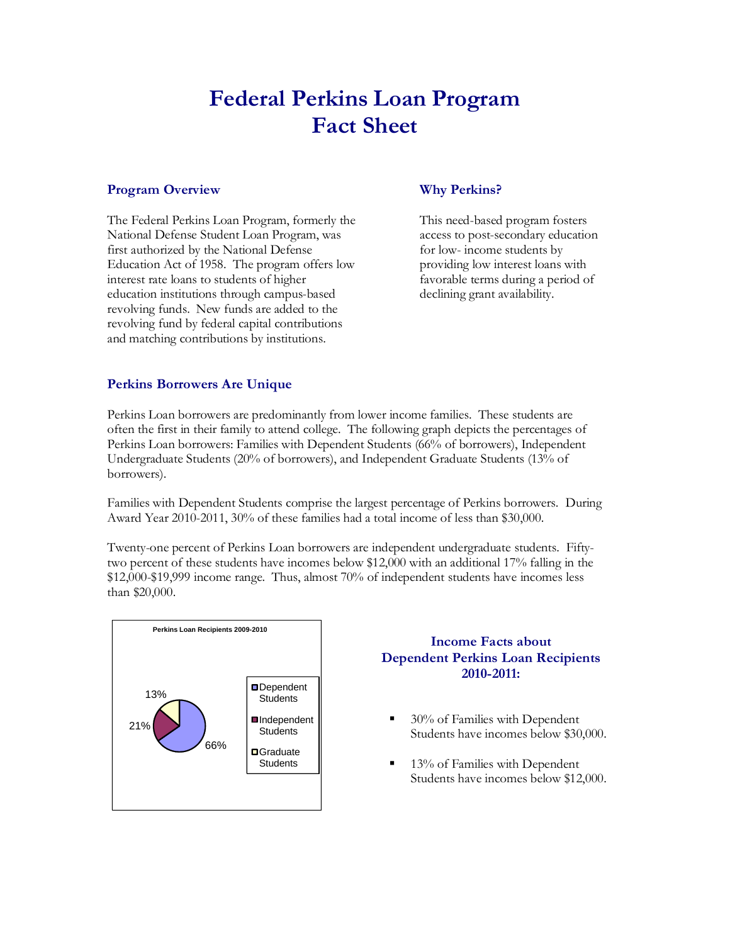# **Federal Perkins Loan Program Fact Sheet**

## **Program Overview**

The Federal Perkins Loan Program, formerly the National Defense Student Loan Program, was first authorized by the National Defense Education Act of 1958. The program offers low interest rate loans to students of higher education institutions through campus-based revolving funds. New funds are added to the revolving fund by federal capital contributions and matching contributions by institutions.

# **Why Perkins?**

This need-based program fosters access to post-secondary education for low- income students by providing low interest loans with favorable terms during a period of declining grant availability.

# **Perkins Borrowers Are Unique**

Perkins Loan borrowers are predominantly from lower income families. These students are often the first in their family to attend college. The following graph depicts the percentages of Perkins Loan borrowers: Families with Dependent Students (66% of borrowers), Independent Undergraduate Students (20% of borrowers), and Independent Graduate Students (13% of borrowers).

Families with Dependent Students comprise the largest percentage of Perkins borrowers. During Award Year 2010-2011, 30% of these families had a total income of less than \$30,000.

Twenty-one percent of Perkins Loan borrowers are independent undergraduate students. Fiftytwo percent of these students have incomes below \$12,000 with an additional 17% falling in the \$12,000-\$19,999 income range. Thus, almost 70% of independent students have incomes less than \$20,000.



## **Income Facts about Dependent Perkins Loan Recipients 2010-2011:**

- 30% of Families with Dependent Students have incomes below \$30,000.
- 13% of Families with Dependent Students have incomes below \$12,000.